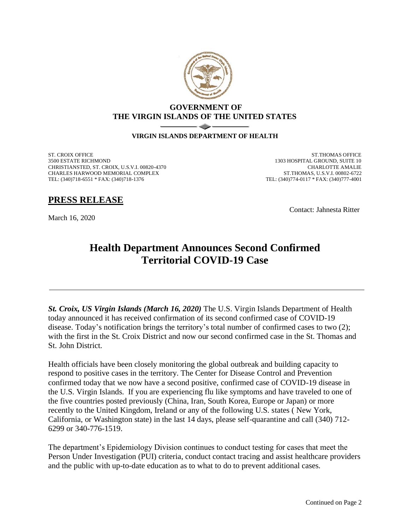

## **GOVERNMENT OF THE VIRGIN ISLANDS OF THE UNITED STATES**

## **VIRGIN ISLANDS DEPARTMENT OF HEALTH**

ST. CROIX OFFICE 3500 ESTATE RICHMOND CHRISTIANSTED, ST. CROIX, U.S.V.I. 00820-4370 CHARLES HARWOOD MEMORIAL COMPLEX TEL: (340)718-6551 \* FAX: (340)718-1376

ST.THOMAS OFFICE 1303 HOSPITAL GROUND, SUITE 10 CHARLOTTE AMALIE ST.THOMAS, U.S.V.I. 00802-6722 TEL: (340)774-0117 \* FAX: (340)777-4001

**PRESS RELEASE**

March 16, 2020

Contact: Jahnesta Ritter

## **Health Department Announces Second Confirmed Territorial COVID-19 Case**

*St. Croix, US Virgin Islands (March 16, 2020)* The U.S. Virgin Islands Department of Health today announced it has received confirmation of its second confirmed case of COVID-19 disease. Today's notification brings the territory's total number of confirmed cases to two (2); with the first in the St. Croix District and now our second confirmed case in the St. Thomas and St. John District.

Health officials have been closely monitoring the global outbreak and building capacity to respond to positive cases in the territory. The Center for Disease Control and Prevention confirmed today that we now have a second positive, confirmed case of COVID-19 disease in the U.S. Virgin Islands. If you are experiencing flu like symptoms and have traveled to one of the five countries posted previously (China, Iran, South Korea, Europe or Japan) or more recently to the United Kingdom, Ireland or any of the following U.S. states ( New York, California, or Washington state) in the last 14 days, please self-quarantine and call (340) 712- 6299 or 340-776-1519.

The department's Epidemiology Division continues to conduct testing for cases that meet the Person Under Investigation (PUI) criteria, conduct contact tracing and assist healthcare providers and the public with up-to-date education as to what to do to prevent additional cases.